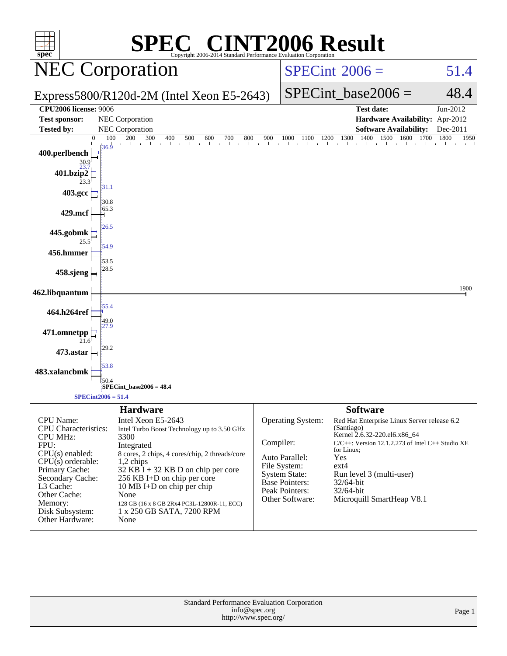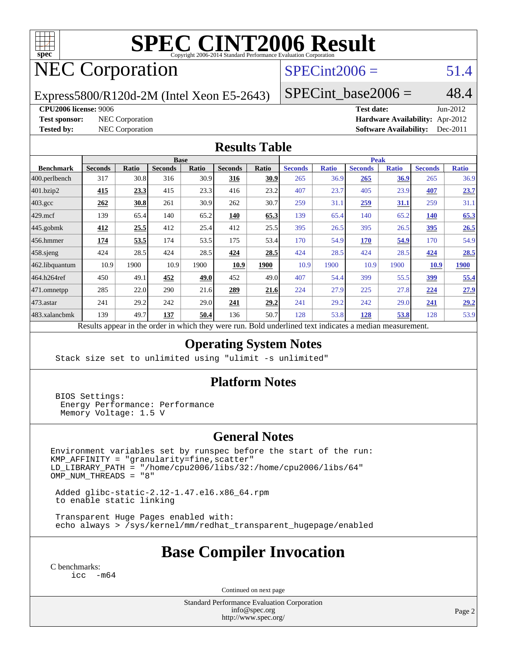

# **[SPEC CINT2006 Result](http://www.spec.org/auto/cpu2006/Docs/result-fields.html#SPECCINT2006Result)**

## NEC Corporation

## $SPECint2006 = 51.4$  $SPECint2006 = 51.4$

Express5800/R120d-2M (Intel Xeon E5-2643)

 $SPECTnt\_base2006 = 48.4$ 

#### **[CPU2006 license:](http://www.spec.org/auto/cpu2006/Docs/result-fields.html#CPU2006license)** 9006 **[Test date:](http://www.spec.org/auto/cpu2006/Docs/result-fields.html#Testdate)** Jun-2012

**[Test sponsor:](http://www.spec.org/auto/cpu2006/Docs/result-fields.html#Testsponsor)** NEC Corporation **NEC Corporation [Hardware Availability:](http://www.spec.org/auto/cpu2006/Docs/result-fields.html#HardwareAvailability)** Apr-2012 **[Tested by:](http://www.spec.org/auto/cpu2006/Docs/result-fields.html#Testedby)** NEC Corporation **[Software Availability:](http://www.spec.org/auto/cpu2006/Docs/result-fields.html#SoftwareAvailability)** Dec-2011

#### **[Results Table](http://www.spec.org/auto/cpu2006/Docs/result-fields.html#ResultsTable)**

|                                                                                                           | <b>Base</b>    |              |                |       |                |             | <b>Peak</b>    |              |                |              |                |              |
|-----------------------------------------------------------------------------------------------------------|----------------|--------------|----------------|-------|----------------|-------------|----------------|--------------|----------------|--------------|----------------|--------------|
| <b>Benchmark</b>                                                                                          | <b>Seconds</b> | <b>Ratio</b> | <b>Seconds</b> | Ratio | <b>Seconds</b> | Ratio       | <b>Seconds</b> | <b>Ratio</b> | <b>Seconds</b> | <b>Ratio</b> | <b>Seconds</b> | <b>Ratio</b> |
| 400.perlbench                                                                                             | 317            | 30.8         | 316            | 30.9  | 316            | <u>30.9</u> | 265            | 36.9         | 265            | <u>36.9</u>  | 265            | 36.9         |
| 401.bzip2                                                                                                 | 415            | 23.3         | 415            | 23.3  | 416            | 23.2        | 407            | 23.7         | 405            | 23.9         | 407            | 23.7         |
| $403.\mathrm{gcc}$                                                                                        | 262            | 30.8         | 261            | 30.9  | 262            | 30.7        | 259            | 31.1         | 259            | <u>31.1</u>  | 259            | 31.1         |
| $429$ mcf                                                                                                 | 139            | 65.4         | 140            | 65.2  | 140            | 65.3        | 139            | 65.4         | 140            | 65.2         | 140            | 65.3         |
| $445$ .gobmk                                                                                              | 412            | 25.5         | 412            | 25.4  | 412            | 25.5        | 395            | 26.5         | 395            | 26.5         | 395            | 26.5         |
| $456.$ hmmer                                                                                              | 174            | 53.5         | 174            | 53.5  | 175            | 53.4        | 170            | 54.9         | 170            | 54.9         | 170            | 54.9         |
| $458$ .sjeng                                                                                              | 424            | 28.5         | 424            | 28.5  | 424            | 28.5        | 424            | 28.5         | 424            | 28.5         | 424            | 28.5         |
| 462.libquantum                                                                                            | 10.9           | 1900         | 10.9           | 1900  | 10.9           | 1900        | 10.9           | 1900         | 10.9           | 1900         | 10.9           | 1900         |
| 464.h264ref                                                                                               | 450            | 49.1         | 452            | 49.0  | 452            | 49.0        | 407            | 54.4         | 399            | 55.5         | 399            | 55.4         |
| 471.omnetpp                                                                                               | 285            | 22.0         | 290            | 21.6  | 289            | 21.6        | 224            | 27.9         | 225            | 27.8         | 224            | 27.9         |
| $473$ . astar                                                                                             | 241            | 29.2         | 242            | 29.0  | 241            | 29.2        | 241            | 29.2         | 242            | 29.0         | 241            | 29.2         |
| 483.xalancbmk                                                                                             | 139            | 49.7         | 137            | 50.4  | 136            | 50.7        | 128            | 53.8         | 128            | 53.8         | 128            | 53.9         |
| $2.1 - 11.$<br>$\mathbf{D}$ $\mathbf{L}$<br>1.3.1.<br>$-11$<br>$\mathbf{D}$ $\cdot$ 1.1<br>$\mathbf{1}$ . |                |              |                |       |                |             |                |              |                |              |                |              |

Results appear in the [order in which they were run.](http://www.spec.org/auto/cpu2006/Docs/result-fields.html#RunOrder) Bold underlined text [indicates a median measurement.](http://www.spec.org/auto/cpu2006/Docs/result-fields.html#Median)

#### **[Operating System Notes](http://www.spec.org/auto/cpu2006/Docs/result-fields.html#OperatingSystemNotes)**

Stack size set to unlimited using "ulimit -s unlimited"

#### **[Platform Notes](http://www.spec.org/auto/cpu2006/Docs/result-fields.html#PlatformNotes)**

 BIOS Settings: Energy Performance: Performance Memory Voltage: 1.5 V

#### **[General Notes](http://www.spec.org/auto/cpu2006/Docs/result-fields.html#GeneralNotes)**

Environment variables set by runspec before the start of the run: KMP\_AFFINITY = "granularity=fine,scatter" LD\_LIBRARY\_PATH = "/home/cpu2006/libs/32:/home/cpu2006/libs/64"  $OMP_NUM_THREADS = "8"$ 

 Added glibc-static-2.12-1.47.el6.x86\_64.rpm to enable static linking

 Transparent Huge Pages enabled with: echo always > /sys/kernel/mm/redhat\_transparent\_hugepage/enabled

## **[Base Compiler Invocation](http://www.spec.org/auto/cpu2006/Docs/result-fields.html#BaseCompilerInvocation)**

[C benchmarks](http://www.spec.org/auto/cpu2006/Docs/result-fields.html#Cbenchmarks): [icc -m64](http://www.spec.org/cpu2006/results/res2012q3/cpu2006-20120617-22960.flags.html#user_CCbase_intel_icc_64bit_f346026e86af2a669e726fe758c88044)

Continued on next page

Standard Performance Evaluation Corporation [info@spec.org](mailto:info@spec.org) <http://www.spec.org/>

Page 2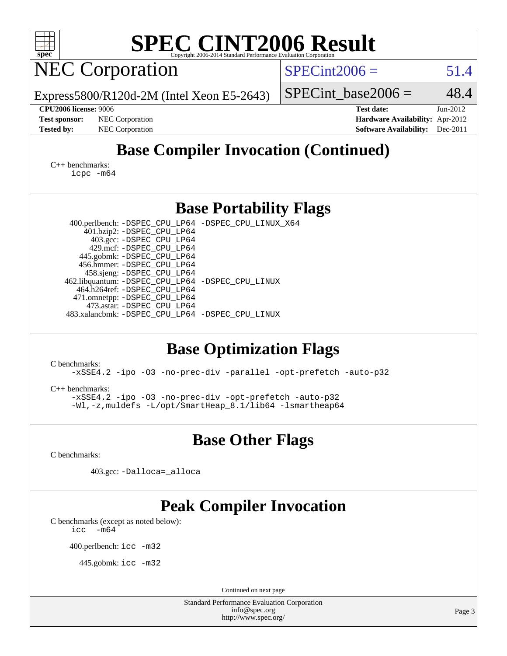| <b>SPEC CINT2006 Result</b><br>spec <sup>®</sup><br>Copyright 2006-2014 Standard Performance Evaluation Corporation                                                                                                                                                                                                                                                                                                                                                                                                                                                                                                                                                                                            |                                                                                                               |  |  |  |  |  |  |  |  |
|----------------------------------------------------------------------------------------------------------------------------------------------------------------------------------------------------------------------------------------------------------------------------------------------------------------------------------------------------------------------------------------------------------------------------------------------------------------------------------------------------------------------------------------------------------------------------------------------------------------------------------------------------------------------------------------------------------------|---------------------------------------------------------------------------------------------------------------|--|--|--|--|--|--|--|--|
| <b>NEC Corporation</b>                                                                                                                                                                                                                                                                                                                                                                                                                                                                                                                                                                                                                                                                                         | $SPECint2006 =$<br>51.4                                                                                       |  |  |  |  |  |  |  |  |
| Express5800/R120d-2M (Intel Xeon E5-2643)                                                                                                                                                                                                                                                                                                                                                                                                                                                                                                                                                                                                                                                                      | 48.4<br>$SPECint$ base2006 =                                                                                  |  |  |  |  |  |  |  |  |
| <b>CPU2006 license: 9006</b><br>NEC Corporation<br><b>Test sponsor:</b><br>NEC Corporation<br><b>Tested by:</b>                                                                                                                                                                                                                                                                                                                                                                                                                                                                                                                                                                                                | <b>Test date:</b><br>Jun-2012<br>Hardware Availability: Apr-2012<br><b>Software Availability:</b><br>Dec-2011 |  |  |  |  |  |  |  |  |
| <b>Base Compiler Invocation (Continued)</b>                                                                                                                                                                                                                                                                                                                                                                                                                                                                                                                                                                                                                                                                    |                                                                                                               |  |  |  |  |  |  |  |  |
| C++ benchmarks:<br>icpc -m64                                                                                                                                                                                                                                                                                                                                                                                                                                                                                                                                                                                                                                                                                   |                                                                                                               |  |  |  |  |  |  |  |  |
| <b>Base Portability Flags</b>                                                                                                                                                                                                                                                                                                                                                                                                                                                                                                                                                                                                                                                                                  |                                                                                                               |  |  |  |  |  |  |  |  |
| 400.perlbench: -DSPEC_CPU_LP64 -DSPEC_CPU_LINUX_X64<br>401.bzip2: -DSPEC_CPU_LP64<br>403.gcc: -DSPEC_CPU_LP64<br>429.mcf: -DSPEC_CPU_LP64<br>445.gobmk: -DSPEC_CPU_LP64<br>456.hmmer: - DSPEC_CPU_LP64<br>458.sjeng: -DSPEC_CPU_LP64<br>462.libquantum: -DSPEC_CPU_LP64 -DSPEC_CPU_LINUX<br>464.h264ref: -DSPEC_CPU_LP64<br>471.omnetpp: -DSPEC_CPU_LP64<br>473.astar: -DSPEC_CPU_LP64<br>483.xalancbmk: -DSPEC_CPU_LP64 -DSPEC_CPU_LINUX<br><b>Base Optimization Flags</b><br>C benchmarks:<br>-xSSE4.2 -ipo -03 -no-prec-div -parallel -opt-prefetch -auto-p32<br>$C_{++}$ benchmarks:<br>-xSSE4.2 -ipo -03 -no-prec-div -opt-prefetch -auto-p32<br>-Wl,-z, muldefs -L/opt/SmartHeap_8.1/lib64 -lsmartheap64 |                                                                                                               |  |  |  |  |  |  |  |  |
| <b>Base Other Flags</b>                                                                                                                                                                                                                                                                                                                                                                                                                                                                                                                                                                                                                                                                                        |                                                                                                               |  |  |  |  |  |  |  |  |
| C benchmarks:<br>403.gcc: -Dalloca=_alloca                                                                                                                                                                                                                                                                                                                                                                                                                                                                                                                                                                                                                                                                     |                                                                                                               |  |  |  |  |  |  |  |  |
| <b>Peak Compiler Invocation</b><br>C benchmarks (except as noted below):<br>$-m64$<br>icc<br>400.perlbench: icc -m32<br>445.gobmk: $\text{icc}$ -m32<br>Continued on next page                                                                                                                                                                                                                                                                                                                                                                                                                                                                                                                                 |                                                                                                               |  |  |  |  |  |  |  |  |
| <b>Standard Performance Evaluation Corporation</b><br>info@spec.org                                                                                                                                                                                                                                                                                                                                                                                                                                                                                                                                                                                                                                            | Page 3                                                                                                        |  |  |  |  |  |  |  |  |
| http://www.spec.org/                                                                                                                                                                                                                                                                                                                                                                                                                                                                                                                                                                                                                                                                                           |                                                                                                               |  |  |  |  |  |  |  |  |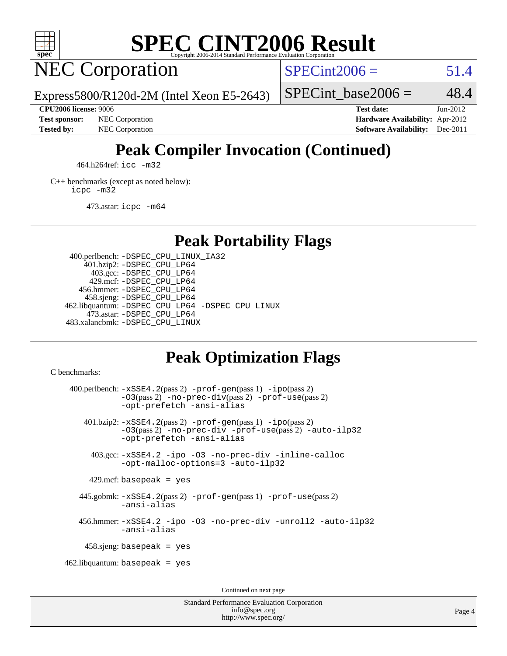

# **[SPEC CINT2006 Result](http://www.spec.org/auto/cpu2006/Docs/result-fields.html#SPECCINT2006Result)**

## NEC Corporation

 $SPECint2006 = 51.4$  $SPECint2006 = 51.4$ 

Express5800/R120d-2M (Intel Xeon E5-2643)

#### **[CPU2006 license:](http://www.spec.org/auto/cpu2006/Docs/result-fields.html#CPU2006license)** 9006 **[Test date:](http://www.spec.org/auto/cpu2006/Docs/result-fields.html#Testdate)** Jun-2012

SPECint base2006 =  $48.4$ 

**[Test sponsor:](http://www.spec.org/auto/cpu2006/Docs/result-fields.html#Testsponsor)** NEC Corporation **NEC Corporation [Hardware Availability:](http://www.spec.org/auto/cpu2006/Docs/result-fields.html#HardwareAvailability)** Apr-2012 **[Tested by:](http://www.spec.org/auto/cpu2006/Docs/result-fields.html#Testedby)** NEC Corporation **[Software Availability:](http://www.spec.org/auto/cpu2006/Docs/result-fields.html#SoftwareAvailability)** Dec-2011

## **[Peak Compiler Invocation \(Continued\)](http://www.spec.org/auto/cpu2006/Docs/result-fields.html#PeakCompilerInvocation)**

464.h264ref: [icc -m32](http://www.spec.org/cpu2006/results/res2012q3/cpu2006-20120617-22960.flags.html#user_peakCCLD464_h264ref_intel_icc_a6a621f8d50482236b970c6ac5f55f93)

[C++ benchmarks \(except as noted below\):](http://www.spec.org/auto/cpu2006/Docs/result-fields.html#CXXbenchmarksexceptasnotedbelow) [icpc -m32](http://www.spec.org/cpu2006/results/res2012q3/cpu2006-20120617-22960.flags.html#user_CXXpeak_intel_icpc_4e5a5ef1a53fd332b3c49e69c3330699)

473.astar: [icpc -m64](http://www.spec.org/cpu2006/results/res2012q3/cpu2006-20120617-22960.flags.html#user_peakCXXLD473_astar_intel_icpc_64bit_fc66a5337ce925472a5c54ad6a0de310)

## **[Peak Portability Flags](http://www.spec.org/auto/cpu2006/Docs/result-fields.html#PeakPortabilityFlags)**

 400.perlbench: [-DSPEC\\_CPU\\_LINUX\\_IA32](http://www.spec.org/cpu2006/results/res2012q3/cpu2006-20120617-22960.flags.html#b400.perlbench_peakCPORTABILITY_DSPEC_CPU_LINUX_IA32) 401.bzip2: [-DSPEC\\_CPU\\_LP64](http://www.spec.org/cpu2006/results/res2012q3/cpu2006-20120617-22960.flags.html#suite_peakPORTABILITY401_bzip2_DSPEC_CPU_LP64) 403.gcc: [-DSPEC\\_CPU\\_LP64](http://www.spec.org/cpu2006/results/res2012q3/cpu2006-20120617-22960.flags.html#suite_peakPORTABILITY403_gcc_DSPEC_CPU_LP64) 429.mcf: [-DSPEC\\_CPU\\_LP64](http://www.spec.org/cpu2006/results/res2012q3/cpu2006-20120617-22960.flags.html#suite_peakPORTABILITY429_mcf_DSPEC_CPU_LP64) 456.hmmer: [-DSPEC\\_CPU\\_LP64](http://www.spec.org/cpu2006/results/res2012q3/cpu2006-20120617-22960.flags.html#suite_peakPORTABILITY456_hmmer_DSPEC_CPU_LP64) 458.sjeng: [-DSPEC\\_CPU\\_LP64](http://www.spec.org/cpu2006/results/res2012q3/cpu2006-20120617-22960.flags.html#suite_peakPORTABILITY458_sjeng_DSPEC_CPU_LP64) 462.libquantum: [-DSPEC\\_CPU\\_LP64](http://www.spec.org/cpu2006/results/res2012q3/cpu2006-20120617-22960.flags.html#suite_peakPORTABILITY462_libquantum_DSPEC_CPU_LP64) [-DSPEC\\_CPU\\_LINUX](http://www.spec.org/cpu2006/results/res2012q3/cpu2006-20120617-22960.flags.html#b462.libquantum_peakCPORTABILITY_DSPEC_CPU_LINUX) 473.astar: [-DSPEC\\_CPU\\_LP64](http://www.spec.org/cpu2006/results/res2012q3/cpu2006-20120617-22960.flags.html#suite_peakPORTABILITY473_astar_DSPEC_CPU_LP64) 483.xalancbmk: [-DSPEC\\_CPU\\_LINUX](http://www.spec.org/cpu2006/results/res2012q3/cpu2006-20120617-22960.flags.html#b483.xalancbmk_peakCXXPORTABILITY_DSPEC_CPU_LINUX)

## **[Peak Optimization Flags](http://www.spec.org/auto/cpu2006/Docs/result-fields.html#PeakOptimizationFlags)**

[C benchmarks](http://www.spec.org/auto/cpu2006/Docs/result-fields.html#Cbenchmarks):

 400.perlbench: [-xSSE4.2](http://www.spec.org/cpu2006/results/res2012q3/cpu2006-20120617-22960.flags.html#user_peakPASS2_CFLAGSPASS2_LDCFLAGS400_perlbench_f-xSSE42_f91528193cf0b216347adb8b939d4107)(pass 2) [-prof-gen](http://www.spec.org/cpu2006/results/res2012q3/cpu2006-20120617-22960.flags.html#user_peakPASS1_CFLAGSPASS1_LDCFLAGS400_perlbench_prof_gen_e43856698f6ca7b7e442dfd80e94a8fc)(pass 1) [-ipo](http://www.spec.org/cpu2006/results/res2012q3/cpu2006-20120617-22960.flags.html#user_peakPASS2_CFLAGSPASS2_LDCFLAGS400_perlbench_f-ipo)(pass 2) [-O3](http://www.spec.org/cpu2006/results/res2012q3/cpu2006-20120617-22960.flags.html#user_peakPASS2_CFLAGSPASS2_LDCFLAGS400_perlbench_f-O3)(pass 2) [-no-prec-div](http://www.spec.org/cpu2006/results/res2012q3/cpu2006-20120617-22960.flags.html#user_peakPASS2_CFLAGSPASS2_LDCFLAGS400_perlbench_f-no-prec-div)(pass 2) [-prof-use](http://www.spec.org/cpu2006/results/res2012q3/cpu2006-20120617-22960.flags.html#user_peakPASS2_CFLAGSPASS2_LDCFLAGS400_perlbench_prof_use_bccf7792157ff70d64e32fe3e1250b55)(pass 2) [-opt-prefetch](http://www.spec.org/cpu2006/results/res2012q3/cpu2006-20120617-22960.flags.html#user_peakCOPTIMIZE400_perlbench_f-opt-prefetch) [-ansi-alias](http://www.spec.org/cpu2006/results/res2012q3/cpu2006-20120617-22960.flags.html#user_peakCOPTIMIZE400_perlbench_f-ansi-alias) 401.bzip2: [-xSSE4.2](http://www.spec.org/cpu2006/results/res2012q3/cpu2006-20120617-22960.flags.html#user_peakPASS2_CFLAGSPASS2_LDCFLAGS401_bzip2_f-xSSE42_f91528193cf0b216347adb8b939d4107)(pass 2) [-prof-gen](http://www.spec.org/cpu2006/results/res2012q3/cpu2006-20120617-22960.flags.html#user_peakPASS1_CFLAGSPASS1_LDCFLAGS401_bzip2_prof_gen_e43856698f6ca7b7e442dfd80e94a8fc)(pass 1) [-ipo](http://www.spec.org/cpu2006/results/res2012q3/cpu2006-20120617-22960.flags.html#user_peakPASS2_CFLAGSPASS2_LDCFLAGS401_bzip2_f-ipo)(pass 2) [-O3](http://www.spec.org/cpu2006/results/res2012q3/cpu2006-20120617-22960.flags.html#user_peakPASS2_CFLAGSPASS2_LDCFLAGS401_bzip2_f-O3)(pass 2) [-no-prec-div](http://www.spec.org/cpu2006/results/res2012q3/cpu2006-20120617-22960.flags.html#user_peakCOPTIMIZEPASS2_CFLAGSPASS2_LDCFLAGS401_bzip2_f-no-prec-div) [-prof-use](http://www.spec.org/cpu2006/results/res2012q3/cpu2006-20120617-22960.flags.html#user_peakPASS2_CFLAGSPASS2_LDCFLAGS401_bzip2_prof_use_bccf7792157ff70d64e32fe3e1250b55)(pass 2) [-auto-ilp32](http://www.spec.org/cpu2006/results/res2012q3/cpu2006-20120617-22960.flags.html#user_peakCOPTIMIZE401_bzip2_f-auto-ilp32) [-opt-prefetch](http://www.spec.org/cpu2006/results/res2012q3/cpu2006-20120617-22960.flags.html#user_peakCOPTIMIZE401_bzip2_f-opt-prefetch) [-ansi-alias](http://www.spec.org/cpu2006/results/res2012q3/cpu2006-20120617-22960.flags.html#user_peakCOPTIMIZE401_bzip2_f-ansi-alias) 403.gcc: [-xSSE4.2](http://www.spec.org/cpu2006/results/res2012q3/cpu2006-20120617-22960.flags.html#user_peakCOPTIMIZE403_gcc_f-xSSE42_f91528193cf0b216347adb8b939d4107) [-ipo](http://www.spec.org/cpu2006/results/res2012q3/cpu2006-20120617-22960.flags.html#user_peakCOPTIMIZE403_gcc_f-ipo) [-O3](http://www.spec.org/cpu2006/results/res2012q3/cpu2006-20120617-22960.flags.html#user_peakCOPTIMIZE403_gcc_f-O3) [-no-prec-div](http://www.spec.org/cpu2006/results/res2012q3/cpu2006-20120617-22960.flags.html#user_peakCOPTIMIZE403_gcc_f-no-prec-div) [-inline-calloc](http://www.spec.org/cpu2006/results/res2012q3/cpu2006-20120617-22960.flags.html#user_peakCOPTIMIZE403_gcc_f-inline-calloc) [-opt-malloc-options=3](http://www.spec.org/cpu2006/results/res2012q3/cpu2006-20120617-22960.flags.html#user_peakCOPTIMIZE403_gcc_f-opt-malloc-options_13ab9b803cf986b4ee62f0a5998c2238) [-auto-ilp32](http://www.spec.org/cpu2006/results/res2012q3/cpu2006-20120617-22960.flags.html#user_peakCOPTIMIZE403_gcc_f-auto-ilp32)  $429$ .mcf: basepeak = yes 445.gobmk: [-xSSE4.2](http://www.spec.org/cpu2006/results/res2012q3/cpu2006-20120617-22960.flags.html#user_peakPASS2_CFLAGSPASS2_LDCFLAGS445_gobmk_f-xSSE42_f91528193cf0b216347adb8b939d4107)(pass 2) [-prof-gen](http://www.spec.org/cpu2006/results/res2012q3/cpu2006-20120617-22960.flags.html#user_peakPASS1_CFLAGSPASS1_LDCFLAGS445_gobmk_prof_gen_e43856698f6ca7b7e442dfd80e94a8fc)(pass 1) [-prof-use](http://www.spec.org/cpu2006/results/res2012q3/cpu2006-20120617-22960.flags.html#user_peakPASS2_CFLAGSPASS2_LDCFLAGS445_gobmk_prof_use_bccf7792157ff70d64e32fe3e1250b55)(pass 2) [-ansi-alias](http://www.spec.org/cpu2006/results/res2012q3/cpu2006-20120617-22960.flags.html#user_peakCOPTIMIZE445_gobmk_f-ansi-alias) 456.hmmer: [-xSSE4.2](http://www.spec.org/cpu2006/results/res2012q3/cpu2006-20120617-22960.flags.html#user_peakCOPTIMIZE456_hmmer_f-xSSE42_f91528193cf0b216347adb8b939d4107) [-ipo](http://www.spec.org/cpu2006/results/res2012q3/cpu2006-20120617-22960.flags.html#user_peakCOPTIMIZE456_hmmer_f-ipo) [-O3](http://www.spec.org/cpu2006/results/res2012q3/cpu2006-20120617-22960.flags.html#user_peakCOPTIMIZE456_hmmer_f-O3) [-no-prec-div](http://www.spec.org/cpu2006/results/res2012q3/cpu2006-20120617-22960.flags.html#user_peakCOPTIMIZE456_hmmer_f-no-prec-div) [-unroll2](http://www.spec.org/cpu2006/results/res2012q3/cpu2006-20120617-22960.flags.html#user_peakCOPTIMIZE456_hmmer_f-unroll_784dae83bebfb236979b41d2422d7ec2) [-auto-ilp32](http://www.spec.org/cpu2006/results/res2012q3/cpu2006-20120617-22960.flags.html#user_peakCOPTIMIZE456_hmmer_f-auto-ilp32) [-ansi-alias](http://www.spec.org/cpu2006/results/res2012q3/cpu2006-20120617-22960.flags.html#user_peakCOPTIMIZE456_hmmer_f-ansi-alias) 458.sjeng: basepeak = yes  $462$ .libquantum: basepeak = yes Continued on next page

> Standard Performance Evaluation Corporation [info@spec.org](mailto:info@spec.org) <http://www.spec.org/>